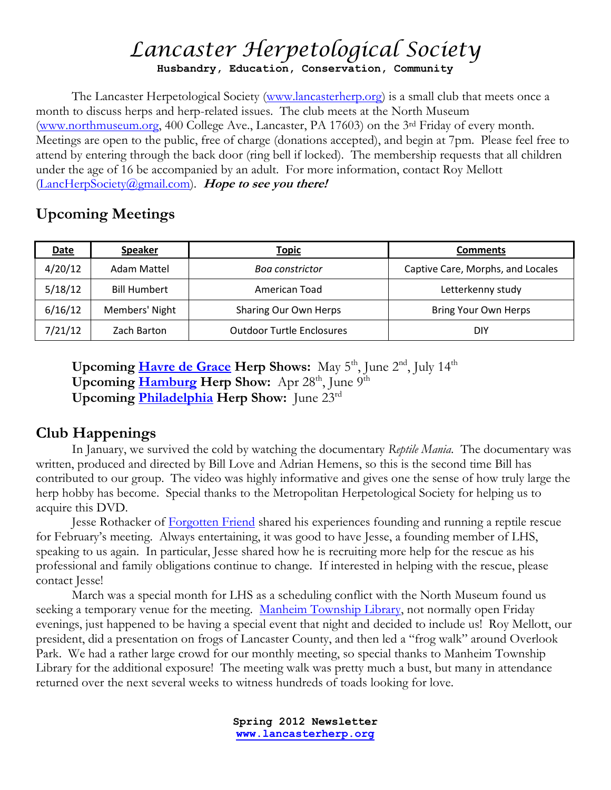# *Lancaster Herpetological Society* **Husbandry, Education, Conservation, Community**

The Lancaster Herpetological Society [\(www.lancasterherp.org\)](http://www.lancasterherp.org/) is a small club that meets once a month to discuss herps and herp-related issues. The club meets at the North Museum [\(www.northmuseum.org,](http://www.northmuseum.org/) 400 College Ave., Lancaster, PA 17603) on the 3<sup>rd</sup> Friday of every month. Meetings are open to the public, free of charge (donations accepted), and begin at 7pm. Please feel free to attend by entering through the back door (ring bell if locked). The membership requests that all children under the age of 16 be accompanied by an adult. For more information, contact Roy Mellott [\(LancHerpSociety@gmail.com\)](mailto:LancHerpSociety@gmail.com). **Hope to see you there!**

### **Upcoming Meetings**

| <u>Date</u> | <b>Speaker</b>      | <u>Topic</u>                     | <b>Comments</b>                   |
|-------------|---------------------|----------------------------------|-----------------------------------|
| 4/20/12     | Adam Mattel         | <b>Boa constrictor</b>           | Captive Care, Morphs, and Locales |
| 5/18/12     | <b>Bill Humbert</b> | American Toad                    | Letterkenny study                 |
| 6/16/12     | Members' Night      | Sharing Our Own Herps            | Bring Your Own Herps              |
| 7/21/12     | Zach Barton         | <b>Outdoor Turtle Enclosures</b> | DIY                               |

**Upcoming [Havre de Grace](http://www.mdreptilefarm.com/shows/md/allmd.asp) Herp Shows:** May 5<sup>th</sup>, June 2<sup>nd</sup>, July 14<sup>th</sup> **Upcoming [Hamburg](http://www.pythons.com/hamburg/) Herp Show:** Apr 28<sup>th</sup>, June 9<sup>th</sup> **Upcoming [Philadelphia](http://www.eastcoastreptilesuperexpos.com/) Herp Show:** June 23rd

### **Club Happenings**

In January, we survived the cold by watching the documentary *Reptile Mania.* The documentary was written, produced and directed by Bill Love and Adrian Hemens, so this is the second time Bill has contributed to our group. The video was highly informative and gives one the sense of how truly large the herp hobby has become. Special thanks to the Metropolitan Herpetological Society for helping us to acquire this DVD.

Jesse Rothacker of [Forgotten Friend](http://www.forgottenfriend.org/) shared his experiences founding and running a reptile rescue for February's meeting. Always entertaining, it was good to have Jesse, a founding member of LHS, speaking to us again. In particular, Jesse shared how he is recruiting more help for the rescue as his professional and family obligations continue to change. If interested in helping with the rescue, please contact Jesse!

March was a special month for LHS as a scheduling conflict with the North Museum found us seeking a temporary venue for the meeting. [Manheim Township Library,](http://www.mtpl.info/) not normally open Friday evenings, just happened to be having a special event that night and decided to include us! Roy Mellott, our president, did a presentation on frogs of Lancaster County, and then led a "frog walk" around Overlook Park. We had a rather large crowd for our monthly meeting, so special thanks to Manheim Township Library for the additional exposure! The meeting walk was pretty much a bust, but many in attendance returned over the next several weeks to witness hundreds of toads looking for love.

> **Spring 2012 Newsletter www.lancasterherp.org**